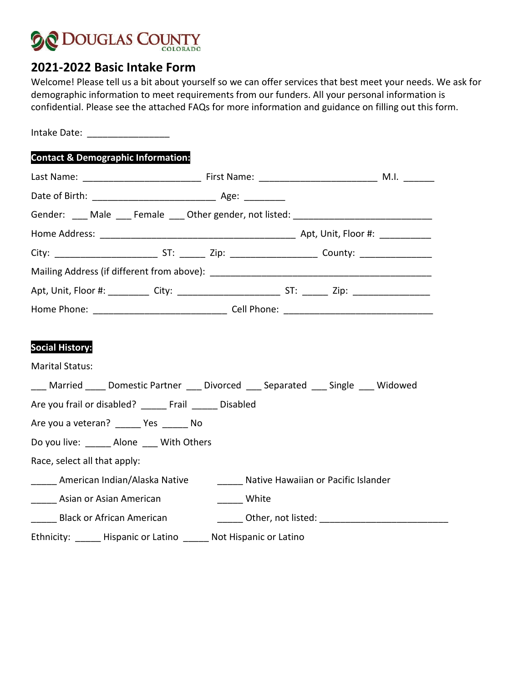

## **2021-2022 Basic Intake Form**

Welcome! Please tell us a bit about yourself so we can offer services that best meet your needs. We ask for demographic information to meet requirements from our funders. All your personal information is confidential. Please see the attached FAQs for more information and guidance on filling out this form.

Intake Date: \_\_\_\_\_\_\_\_\_\_\_\_\_\_\_\_

## **Contact & Demographic Information:**

|                                                                                                                                                                                                                                                                                                                              |              | Gender: ___ Male ___ Female ___ Other gender, not listed: ______________________ |  |  |  |
|------------------------------------------------------------------------------------------------------------------------------------------------------------------------------------------------------------------------------------------------------------------------------------------------------------------------------|--------------|----------------------------------------------------------------------------------|--|--|--|
|                                                                                                                                                                                                                                                                                                                              |              |                                                                                  |  |  |  |
|                                                                                                                                                                                                                                                                                                                              |              |                                                                                  |  |  |  |
|                                                                                                                                                                                                                                                                                                                              |              |                                                                                  |  |  |  |
|                                                                                                                                                                                                                                                                                                                              |              |                                                                                  |  |  |  |
|                                                                                                                                                                                                                                                                                                                              |              |                                                                                  |  |  |  |
| <b>Social History:</b><br><b>Marital Status:</b><br>___ Married ____ Domestic Partner ___ Divorced ___ Separated ___ Single ___ Widowed<br>Are you frail or disabled? ______ Frail ______ Disabled<br>Are you a veteran? ______ Yes ______ No<br>Do you live: _______ Alone ____ With Others<br>Race, select all that apply: |              |                                                                                  |  |  |  |
| _____ American Indian/Alaska Native ________ Native Hawaiian or Pacific Islander                                                                                                                                                                                                                                             |              |                                                                                  |  |  |  |
| <b>Asian or Asian American</b>                                                                                                                                                                                                                                                                                               | ______ White |                                                                                  |  |  |  |
|                                                                                                                                                                                                                                                                                                                              |              |                                                                                  |  |  |  |
| Ethnicity: ______ Hispanic or Latino ______ Not Hispanic or Latino                                                                                                                                                                                                                                                           |              |                                                                                  |  |  |  |